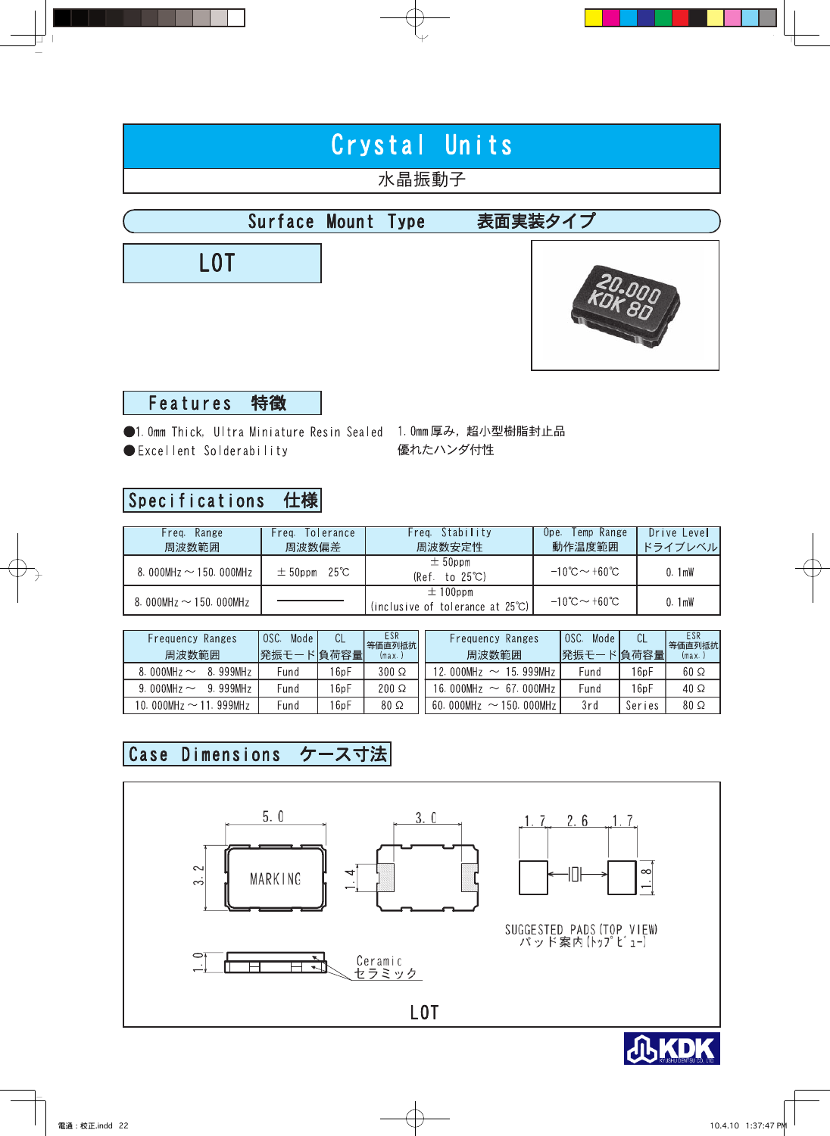# Crystal Units

# 水晶振動子

#### Surface Mount Type 表面実装タイプ





#### Features 特徴

●1.0mm Thick, Ultra Miniature Resin Sealed 1.0mm厚み,超小型樹脂封止品 優れたハンダ付性 Excellent Solderability

#### Specifications 仕様

| Range<br>Freq.<br>周波数範囲    | Freg. Tolerance<br>周波数偏差 | Freq. Stability<br>周波数安定性                                  | Temp Range<br>Upe.<br>動作温度範囲            | Drive Level<br>ドライブレベル |
|----------------------------|--------------------------|------------------------------------------------------------|-----------------------------------------|------------------------|
| 8.000MHz $\sim$ 150.000MHz | $\pm$ 50ppm 25°C         | $\pm$ 50ppm<br>$(Ref. to 25^{\circ}C)$                     | $-10^{\circ}$ C $\sim$ +60 $^{\circ}$ C | 0.1mW                  |
| 8.000MHz $\sim$ 150.000MHz |                          | $\pm$ 100ppm<br>(inclusive of tolerance at $25^{\circ}$ C) | $-10^{\circ}$ C $\sim$ +60 $^{\circ}$ C | 0.1 <sub>mW</sub>      |

| Ranges<br>Frequency<br>周波数範囲 | OSC.<br>Mode<br>発振モー | ∪∟<br>ド負荷容量 | ESR<br>等価直列抵抗<br>(max. | Ranges<br>Frequency<br>周波数範囲      | OSC.<br>Mode<br>発振モー | 『自荷容量  | ESR.<br>等価直列抵抗<br>(max. |
|------------------------------|----------------------|-------------|------------------------|-----------------------------------|----------------------|--------|-------------------------|
| 8.999MHz<br>8.000MHz $\sim$  | Fund                 | 6pF         | $300 \Omega$           | 12.000MHz<br>15.999MHz            | Fund                 | 16pF   | $60\ \Omega$            |
| 9.999MHz<br>9.000MHz $\sim$  | Fund                 | 6pF         | $200 \Omega$           | 16.000MHz<br>67.000MHz<br>$\sim$  | Fund                 | 16pF   | $40\Omega$              |
| 10.000MHz $\sim$ 11.999MHz   | Fund                 | 6pF         | $80\ \Omega$           | 60.000MHz<br>150.000MHz<br>$\sim$ | 3rd                  | Series | $80\ \Omega$            |

#### ケース寸法 Case Dimensions